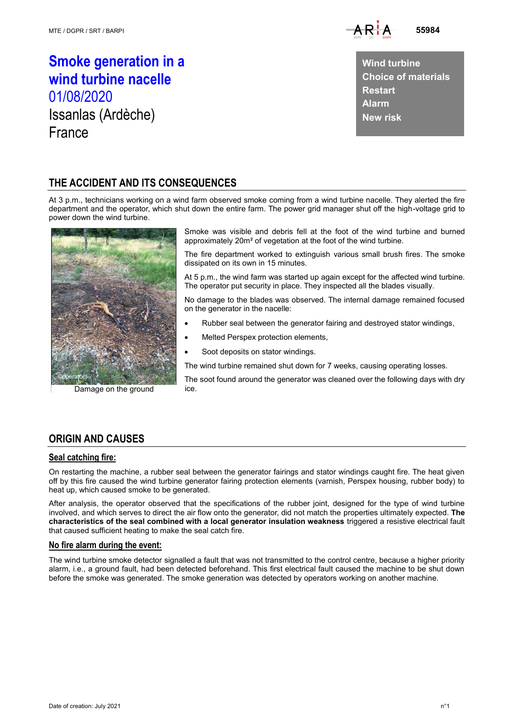

**Smoke generation in a wind turbine nacelle** 01/08/2020 Issanlas (Ardèche) France

**Wind turbine Choice of materials Restart Alarm New risk**

# **THE ACCIDENT AND ITS CONSEQUENCES**

At 3 p.m., technicians working on a wind farm observed smoke coming from a wind turbine nacelle. They alerted the fire department and the operator, which shut down the entire farm. The power grid manager shut off the high-voltage grid to power down the wind turbine.



Damage on the ground

Smoke was visible and debris fell at the foot of the wind turbine and burned approximately 20m² of vegetation at the foot of the wind turbine.

The fire department worked to extinguish various small brush fires. The smoke dissipated on its own in 15 minutes.

At 5 p.m., the wind farm was started up again except for the affected wind turbine. The operator put security in place. They inspected all the blades visually.

No damage to the blades was observed. The internal damage remained focused on the generator in the nacelle:

- Rubber seal between the generator fairing and destroyed stator windings,
- Melted Perspex protection elements,
- Soot deposits on stator windings.

The wind turbine remained shut down for 7 weeks, causing operating losses.

The soot found around the generator was cleaned over the following days with dry ice.

## **ORIGIN AND CAUSES**

#### **Seal catching fire:**

On restarting the machine, a rubber seal between the generator fairings and stator windings caught fire. The heat given off by this fire caused the wind turbine generator fairing protection elements (varnish, Perspex housing, rubber body) to heat up, which caused smoke to be generated.

After analysis, the operator observed that the specifications of the rubber joint, designed for the type of wind turbine involved, and which serves to direct the air flow onto the generator, did not match the properties ultimately expected. **The characteristics of the seal combined with a local generator insulation weakness** triggered a resistive electrical fault that caused sufficient heating to make the seal catch fire.

### **No fire alarm during the event:**

The wind turbine smoke detector signalled a fault that was not transmitted to the control centre, because a higher priority alarm, i.e., a ground fault, had been detected beforehand. This first electrical fault caused the machine to be shut down before the smoke was generated. The smoke generation was detected by operators working on another machine.